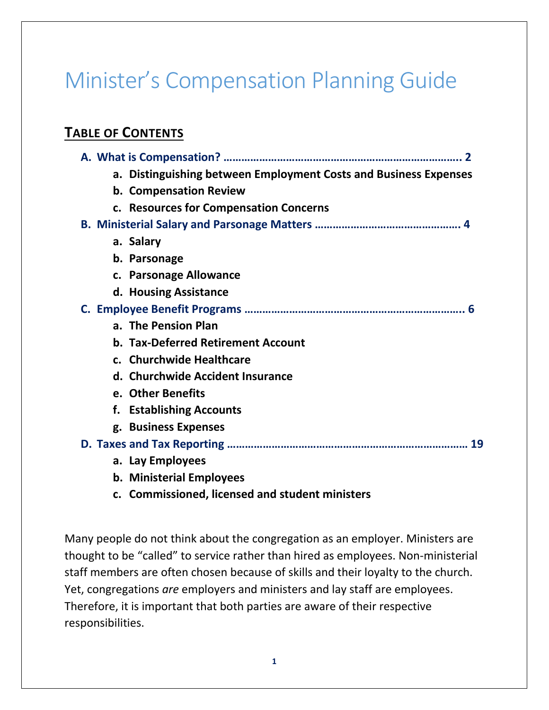# Minister's Compensation Planning Guide

## **TABLE OF CONTENTS**

| a. Distinguishing between Employment Costs and Business Expenses |
|------------------------------------------------------------------|
| b. Compensation Review                                           |
| c. Resources for Compensation Concerns                           |
|                                                                  |
| a. Salary                                                        |
| b. Parsonage                                                     |
| c. Parsonage Allowance                                           |
| d. Housing Assistance                                            |
|                                                                  |
| a. The Pension Plan                                              |
| <b>b. Tax-Deferred Retirement Account</b>                        |
| c. Churchwide Healthcare                                         |
| d. Churchwide Accident Insurance                                 |
| e. Other Benefits                                                |
| f. Establishing Accounts                                         |
| g. Business Expenses                                             |
| 19                                                               |
| a. Lay Employees                                                 |
|                                                                  |

- **b. Ministerial Employees**
- **c. Commissioned, licensed and student ministers**

Many people do not think about the congregation as an employer. Ministers are thought to be "called" to service rather than hired as employees. Non-ministerial staff members are often chosen because of skills and their loyalty to the church. Yet, congregations *are* employers and ministers and lay staff are employees. Therefore, it is important that both parties are aware of their respective responsibilities.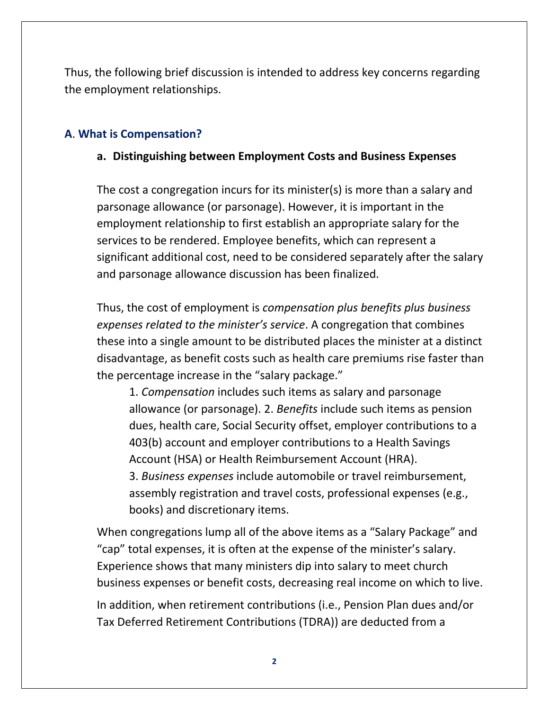Thus, the following brief discussion is intended to address key concerns regarding the employment relationships.

## **A**. **What is Compensation?**

## **a. Distinguishing between Employment Costs and Business Expenses**

The cost a congregation incurs for its minister(s) is more than a salary and parsonage allowance (or parsonage). However, it is important in the employment relationship to first establish an appropriate salary for the services to be rendered. Employee benefits, which can represent a significant additional cost, need to be considered separately after the salary and parsonage allowance discussion has been finalized.

Thus, the cost of employment is *compensation plus benefits plus business expenses related to the minister's service*. A congregation that combines these into a single amount to be distributed places the minister at a distinct disadvantage, as benefit costs such as health care premiums rise faster than the percentage increase in the "salary package."

1. *Compensation* includes such items as salary and parsonage allowance (or parsonage). 2. *Benefits* include such items as pension dues, health care, Social Security offset, employer contributions to a 403(b) account and employer contributions to a Health Savings Account (HSA) or Health Reimbursement Account (HRA). 3. *Business expenses* include automobile or travel reimbursement, assembly registration and travel costs, professional expenses (e.g., books) and discretionary items.

When congregations lump all of the above items as a "Salary Package" and "cap" total expenses, it is often at the expense of the minister's salary. Experience shows that many ministers dip into salary to meet church business expenses or benefit costs, decreasing real income on which to live.

In addition, when retirement contributions (i.e., Pension Plan dues and/or Tax Deferred Retirement Contributions (TDRA)) are deducted from a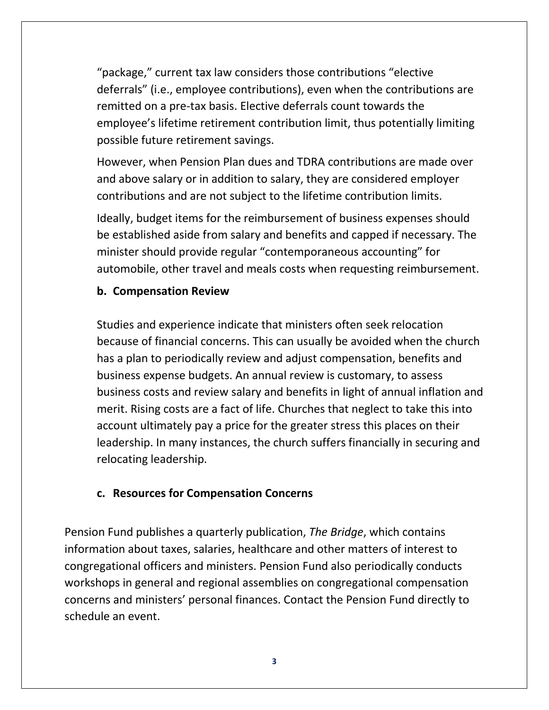"package," current tax law considers those contributions "elective deferrals" (i.e., employee contributions), even when the contributions are remitted on a pre-tax basis. Elective deferrals count towards the employee's lifetime retirement contribution limit, thus potentially limiting possible future retirement savings.

However, when Pension Plan dues and TDRA contributions are made over and above salary or in addition to salary, they are considered employer contributions and are not subject to the lifetime contribution limits.

Ideally, budget items for the reimbursement of business expenses should be established aside from salary and benefits and capped if necessary. The minister should provide regular "contemporaneous accounting" for automobile, other travel and meals costs when requesting reimbursement.

## **b. Compensation Review**

Studies and experience indicate that ministers often seek relocation because of financial concerns. This can usually be avoided when the church has a plan to periodically review and adjust compensation, benefits and business expense budgets. An annual review is customary, to assess business costs and review salary and benefits in light of annual inflation and merit. Rising costs are a fact of life. Churches that neglect to take this into account ultimately pay a price for the greater stress this places on their leadership. In many instances, the church suffers financially in securing and relocating leadership.

## **c. Resources for Compensation Concerns**

Pension Fund publishes a quarterly publication, *The Bridge*, which contains information about taxes, salaries, healthcare and other matters of interest to congregational officers and ministers. Pension Fund also periodically conducts workshops in general and regional assemblies on congregational compensation concerns and ministers' personal finances. Contact the Pension Fund directly to schedule an event.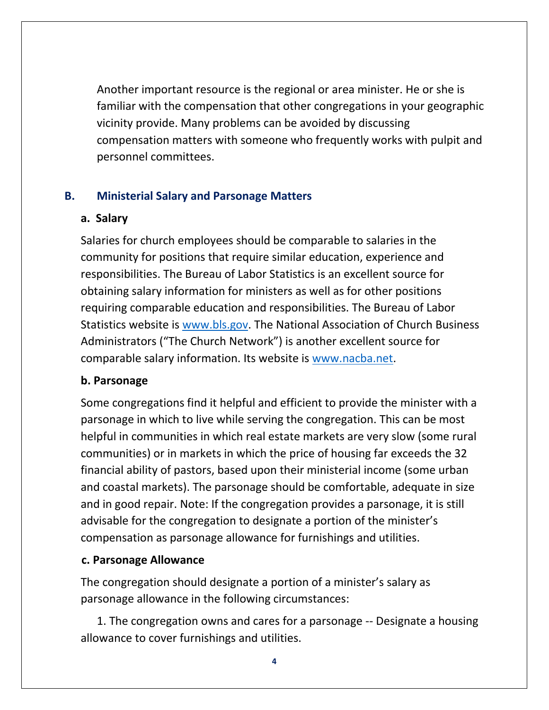Another important resource is the regional or area minister. He or she is familiar with the compensation that other congregations in your geographic vicinity provide. Many problems can be avoided by discussing compensation matters with someone who frequently works with pulpit and personnel committees.

## **B. Ministerial Salary and Parsonage Matters**

## **a. Salary**

Salaries for church employees should be comparable to salaries in the community for positions that require similar education, experience and responsibilities. The Bureau of Labor Statistics is an excellent source for obtaining salary information for ministers as well as for other positions requiring comparable education and responsibilities. The Bureau of Labor Statistics website is [www.bls.gov.](file:///C:/Users/sdunwoody/Documents/Edits/Member%20Services/www.bls.gov) The National Association of Church Business Administrators ("The Church Network") is another excellent source for comparable salary information. Its website is [www.nacba.net.](http://www.nacba.net/)

## **b. Parsonage**

Some congregations find it helpful and efficient to provide the minister with a parsonage in which to live while serving the congregation. This can be most helpful in communities in which real estate markets are very slow (some rural communities) or in markets in which the price of housing far exceeds the 32 financial ability of pastors, based upon their ministerial income (some urban and coastal markets). The parsonage should be comfortable, adequate in size and in good repair. Note: If the congregation provides a parsonage, it is still advisable for the congregation to designate a portion of the minister's compensation as parsonage allowance for furnishings and utilities.

## **c. Parsonage Allowance**

The congregation should designate a portion of a minister's salary as parsonage allowance in the following circumstances:

1. The congregation owns and cares for a parsonage -- Designate a housing allowance to cover furnishings and utilities.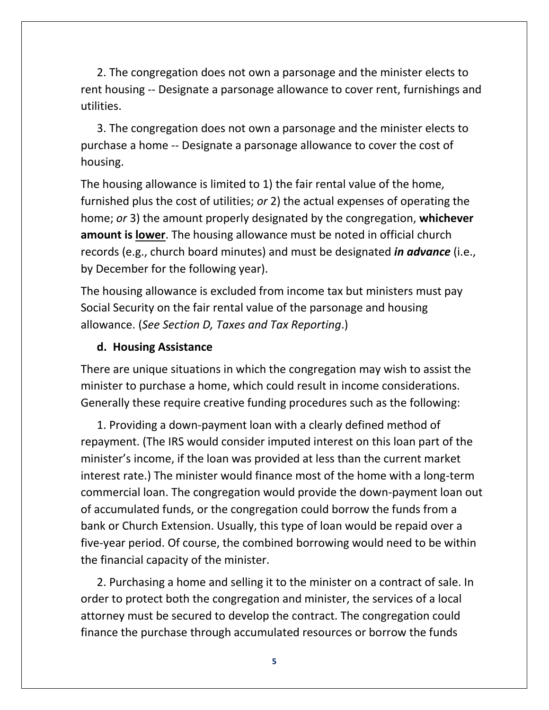2. The congregation does not own a parsonage and the minister elects to rent housing -- Designate a parsonage allowance to cover rent, furnishings and utilities.

3. The congregation does not own a parsonage and the minister elects to purchase a home -- Designate a parsonage allowance to cover the cost of housing.

The housing allowance is limited to 1) the fair rental value of the home, furnished plus the cost of utilities; *or* 2) the actual expenses of operating the home; *or* 3) the amount properly designated by the congregation, **whichever amount is lower**. The housing allowance must be noted in official church records (e.g., church board minutes) and must be designated *in advance* (i.e., by December for the following year).

The housing allowance is excluded from income tax but ministers must pay Social Security on the fair rental value of the parsonage and housing allowance. (*See Section D, Taxes and Tax Reporting*.)

#### **d. Housing Assistance**

There are unique situations in which the congregation may wish to assist the minister to purchase a home, which could result in income considerations. Generally these require creative funding procedures such as the following:

1. Providing a down-payment loan with a clearly defined method of repayment. (The IRS would consider imputed interest on this loan part of the minister's income, if the loan was provided at less than the current market interest rate.) The minister would finance most of the home with a long-term commercial loan. The congregation would provide the down-payment loan out of accumulated funds, or the congregation could borrow the funds from a bank or Church Extension. Usually, this type of loan would be repaid over a five-year period. Of course, the combined borrowing would need to be within the financial capacity of the minister.

2. Purchasing a home and selling it to the minister on a contract of sale. In order to protect both the congregation and minister, the services of a local attorney must be secured to develop the contract. The congregation could finance the purchase through accumulated resources or borrow the funds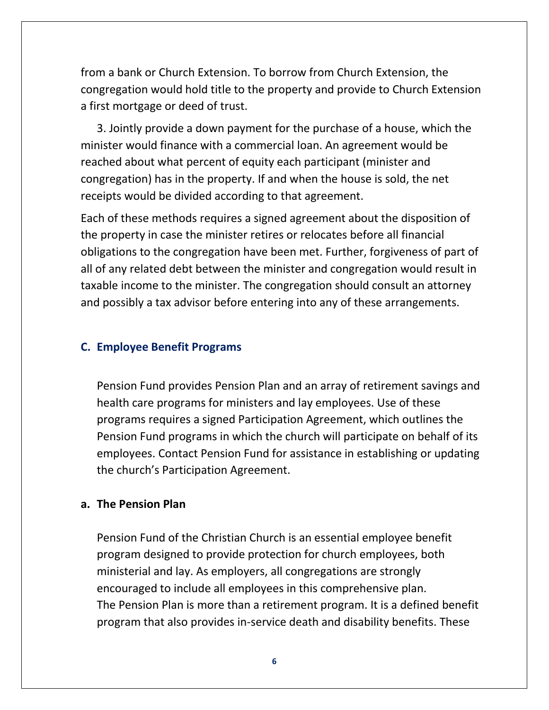from a bank or Church Extension. To borrow from Church Extension, the congregation would hold title to the property and provide to Church Extension a first mortgage or deed of trust.

3. Jointly provide a down payment for the purchase of a house, which the minister would finance with a commercial loan. An agreement would be reached about what percent of equity each participant (minister and congregation) has in the property. If and when the house is sold, the net receipts would be divided according to that agreement.

Each of these methods requires a signed agreement about the disposition of the property in case the minister retires or relocates before all financial obligations to the congregation have been met. Further, forgiveness of part of all of any related debt between the minister and congregation would result in taxable income to the minister. The congregation should consult an attorney and possibly a tax advisor before entering into any of these arrangements.

#### **C. Employee Benefit Programs**

Pension Fund provides Pension Plan and an array of retirement savings and health care programs for ministers and lay employees. Use of these programs requires a signed Participation Agreement, which outlines the Pension Fund programs in which the church will participate on behalf of its employees. Contact Pension Fund for assistance in establishing or updating the church's Participation Agreement.

#### **a. The Pension Plan**

Pension Fund of the Christian Church is an essential employee benefit program designed to provide protection for church employees, both ministerial and lay. As employers, all congregations are strongly encouraged to include all employees in this comprehensive plan. The Pension Plan is more than a retirement program. It is a defined benefit program that also provides in-service death and disability benefits. These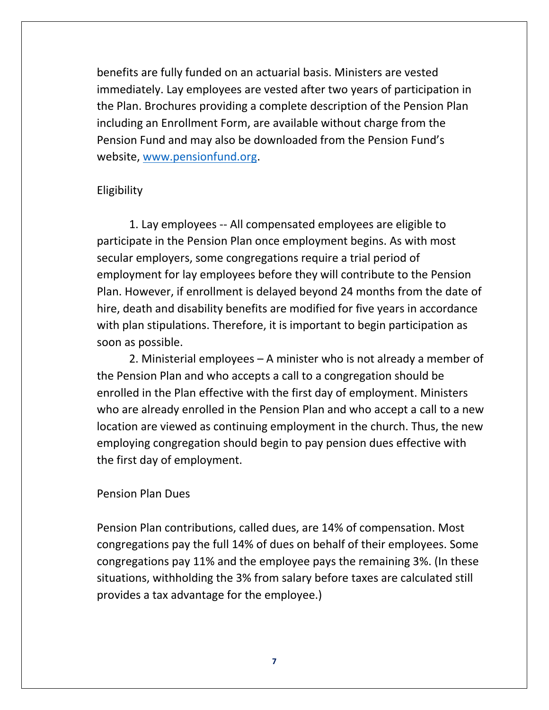benefits are fully funded on an actuarial basis. Ministers are vested immediately. Lay employees are vested after two years of participation in the Plan. Brochures providing a complete description of the Pension Plan including an Enrollment Form, are available without charge from the Pension Fund and may also be downloaded from the Pension Fund's website, [www.pensionfund.org.](http://www.pensionfund.org/)

#### Eligibility

1. Lay employees -- All compensated employees are eligible to participate in the Pension Plan once employment begins. As with most secular employers, some congregations require a trial period of employment for lay employees before they will contribute to the Pension Plan. However, if enrollment is delayed beyond 24 months from the date of hire, death and disability benefits are modified for five years in accordance with plan stipulations. Therefore, it is important to begin participation as soon as possible.

2. Ministerial employees – A minister who is not already a member of the Pension Plan and who accepts a call to a congregation should be enrolled in the Plan effective with the first day of employment. Ministers who are already enrolled in the Pension Plan and who accept a call to a new location are viewed as continuing employment in the church. Thus, the new employing congregation should begin to pay pension dues effective with the first day of employment.

#### Pension Plan Dues

Pension Plan contributions, called dues, are 14% of compensation. Most congregations pay the full 14% of dues on behalf of their employees. Some congregations pay 11% and the employee pays the remaining 3%. (In these situations, withholding the 3% from salary before taxes are calculated still provides a tax advantage for the employee.)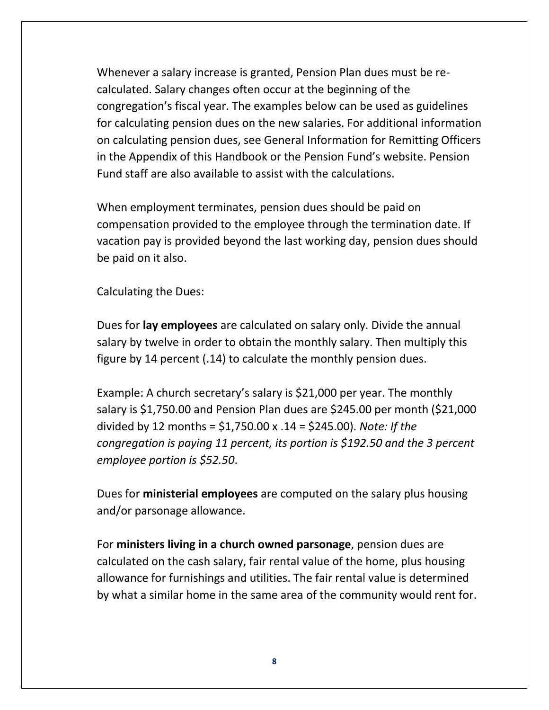Whenever a salary increase is granted, Pension Plan dues must be recalculated. Salary changes often occur at the beginning of the congregation's fiscal year. The examples below can be used as guidelines for calculating pension dues on the new salaries. For additional information on calculating pension dues, see General Information for Remitting Officers in the Appendix of this Handbook or the Pension Fund's website. Pension Fund staff are also available to assist with the calculations.

When employment terminates, pension dues should be paid on compensation provided to the employee through the termination date. If vacation pay is provided beyond the last working day, pension dues should be paid on it also.

Calculating the Dues:

Dues for **lay employees** are calculated on salary only. Divide the annual salary by twelve in order to obtain the monthly salary. Then multiply this figure by 14 percent (.14) to calculate the monthly pension dues.

Example: A church secretary's salary is \$21,000 per year. The monthly salary is \$1,750.00 and Pension Plan dues are \$245.00 per month (\$21,000 divided by 12 months = \$1,750.00 x .14 = \$245.00). *Note: If the congregation is paying 11 percent, its portion is \$192.50 and the 3 percent employee portion is \$52.50*.

Dues for **ministerial employees** are computed on the salary plus housing and/or parsonage allowance.

For **ministers living in a church owned parsonage**, pension dues are calculated on the cash salary, fair rental value of the home, plus housing allowance for furnishings and utilities. The fair rental value is determined by what a similar home in the same area of the community would rent for.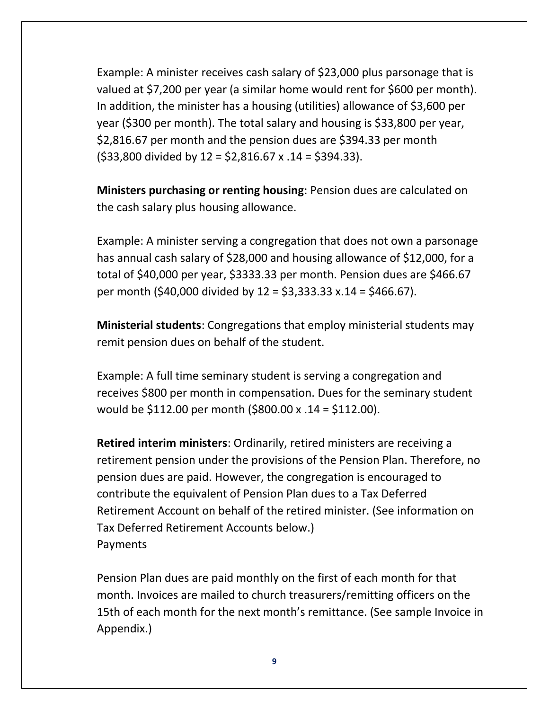Example: A minister receives cash salary of \$23,000 plus parsonage that is valued at \$7,200 per year (a similar home would rent for \$600 per month). In addition, the minister has a housing (utilities) allowance of \$3,600 per year (\$300 per month). The total salary and housing is \$33,800 per year, \$2,816.67 per month and the pension dues are \$394.33 per month  $(533,800 \text{ divided by } 12 = 52,816.67 \times 14 = 5394.33).$ 

**Ministers purchasing or renting housing**: Pension dues are calculated on the cash salary plus housing allowance.

Example: A minister serving a congregation that does not own a parsonage has annual cash salary of \$28,000 and housing allowance of \$12,000, for a total of \$40,000 per year, \$3333.33 per month. Pension dues are \$466.67 per month (\$40,000 divided by 12 = \$3,333.33 x.14 = \$466.67).

**Ministerial students**: Congregations that employ ministerial students may remit pension dues on behalf of the student.

Example: A full time seminary student is serving a congregation and receives \$800 per month in compensation. Dues for the seminary student would be \$112.00 per month (\$800.00 x .14 = \$112.00).

**Retired interim ministers**: Ordinarily, retired ministers are receiving a retirement pension under the provisions of the Pension Plan. Therefore, no pension dues are paid. However, the congregation is encouraged to contribute the equivalent of Pension Plan dues to a Tax Deferred Retirement Account on behalf of the retired minister. (See information on Tax Deferred Retirement Accounts below.) Payments

Pension Plan dues are paid monthly on the first of each month for that month. Invoices are mailed to church treasurers/remitting officers on the 15th of each month for the next month's remittance. (See sample Invoice in Appendix.)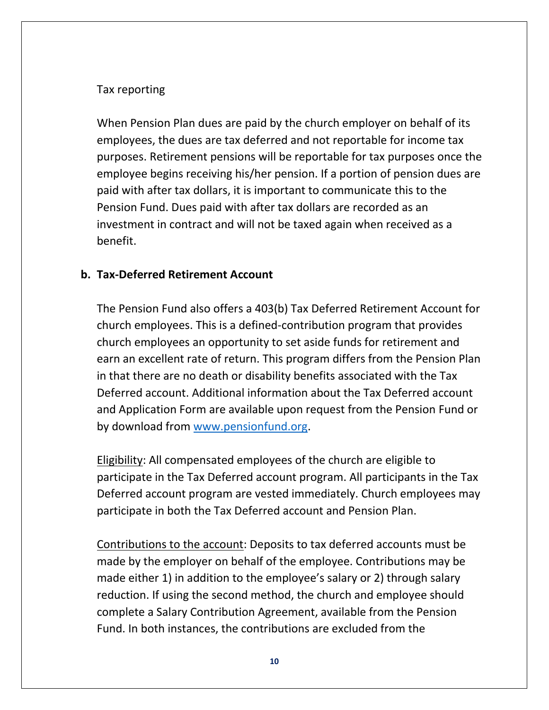### Tax reporting

When Pension Plan dues are paid by the church employer on behalf of its employees, the dues are tax deferred and not reportable for income tax purposes. Retirement pensions will be reportable for tax purposes once the employee begins receiving his/her pension. If a portion of pension dues are paid with after tax dollars, it is important to communicate this to the Pension Fund. Dues paid with after tax dollars are recorded as an investment in contract and will not be taxed again when received as a benefit.

## **b. Tax-Deferred Retirement Account**

The Pension Fund also offers a 403(b) Tax Deferred Retirement Account for church employees. This is a defined-contribution program that provides church employees an opportunity to set aside funds for retirement and earn an excellent rate of return. This program differs from the Pension Plan in that there are no death or disability benefits associated with the Tax Deferred account. Additional information about the Tax Deferred account and Application Form are available upon request from the Pension Fund or by download from [www.pensionfund.org.](http://www.pensionfund.org/)

Eligibility: All compensated employees of the church are eligible to participate in the Tax Deferred account program. All participants in the Tax Deferred account program are vested immediately. Church employees may participate in both the Tax Deferred account and Pension Plan.

Contributions to the account: Deposits to tax deferred accounts must be made by the employer on behalf of the employee. Contributions may be made either 1) in addition to the employee's salary or 2) through salary reduction. If using the second method, the church and employee should complete a Salary Contribution Agreement, available from the Pension Fund. In both instances, the contributions are excluded from the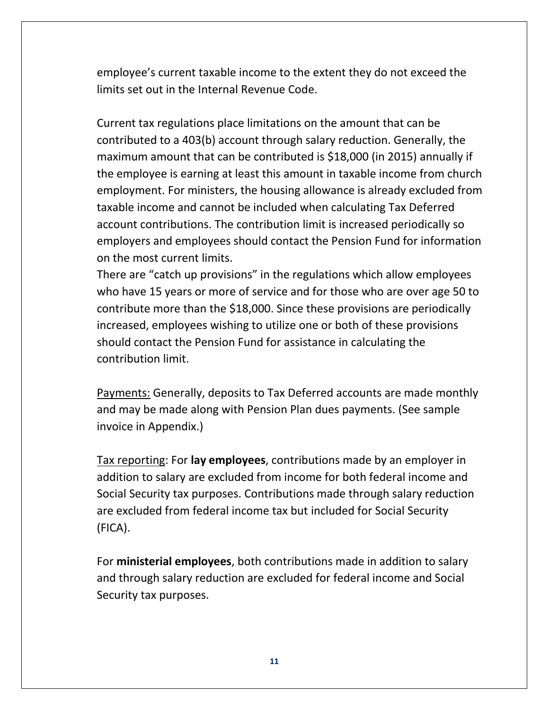employee's current taxable income to the extent they do not exceed the limits set out in the Internal Revenue Code.

Current tax regulations place limitations on the amount that can be contributed to a 403(b) account through salary reduction. Generally, the maximum amount that can be contributed is \$18,000 (in 2015) annually if the employee is earning at least this amount in taxable income from church employment. For ministers, the housing allowance is already excluded from taxable income and cannot be included when calculating Tax Deferred account contributions. The contribution limit is increased periodically so employers and employees should contact the Pension Fund for information on the most current limits.

There are "catch up provisions" in the regulations which allow employees who have 15 years or more of service and for those who are over age 50 to contribute more than the \$18,000. Since these provisions are periodically increased, employees wishing to utilize one or both of these provisions should contact the Pension Fund for assistance in calculating the contribution limit.

Payments: Generally, deposits to Tax Deferred accounts are made monthly and may be made along with Pension Plan dues payments. (See sample invoice in Appendix.)

Tax reporting: For **lay employees**, contributions made by an employer in addition to salary are excluded from income for both federal income and Social Security tax purposes. Contributions made through salary reduction are excluded from federal income tax but included for Social Security (FICA).

For **ministerial employees**, both contributions made in addition to salary and through salary reduction are excluded for federal income and Social Security tax purposes.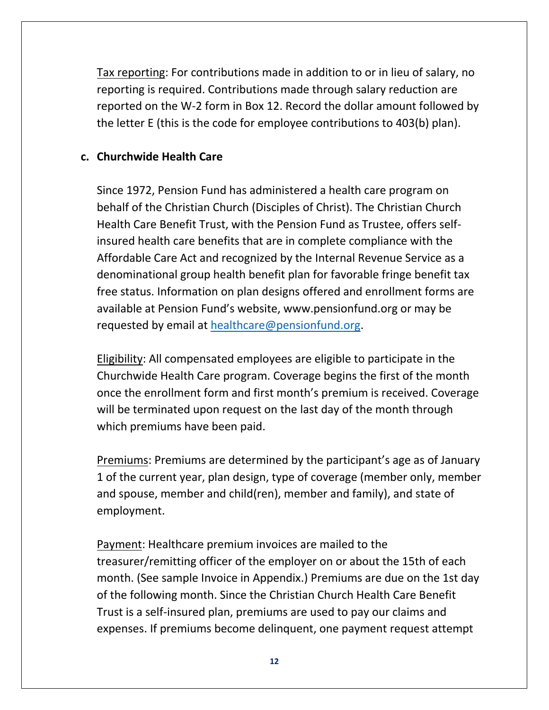Tax reporting: For contributions made in addition to or in lieu of salary, no reporting is required. Contributions made through salary reduction are reported on the W-2 form in Box 12. Record the dollar amount followed by the letter E (this is the code for employee contributions to 403(b) plan).

#### **c. Churchwide Health Care**

Since 1972, Pension Fund has administered a health care program on behalf of the Christian Church (Disciples of Christ). The Christian Church Health Care Benefit Trust, with the Pension Fund as Trustee, offers selfinsured health care benefits that are in complete compliance with the Affordable Care Act and recognized by the Internal Revenue Service as a denominational group health benefit plan for favorable fringe benefit tax free status. Information on plan designs offered and enrollment forms are available at Pension Fund's website, www.pensionfund.org or may be requested by email at [healthcare@pensionfund.org.](mailto:healthcare@pensionfund.org)

Eligibility: All compensated employees are eligible to participate in the Churchwide Health Care program. Coverage begins the first of the month once the enrollment form and first month's premium is received. Coverage will be terminated upon request on the last day of the month through which premiums have been paid.

Premiums: Premiums are determined by the participant's age as of January 1 of the current year, plan design, type of coverage (member only, member and spouse, member and child(ren), member and family), and state of employment.

Payment: Healthcare premium invoices are mailed to the treasurer/remitting officer of the employer on or about the 15th of each month. (See sample Invoice in Appendix.) Premiums are due on the 1st day of the following month. Since the Christian Church Health Care Benefit Trust is a self-insured plan, premiums are used to pay our claims and expenses. If premiums become delinquent, one payment request attempt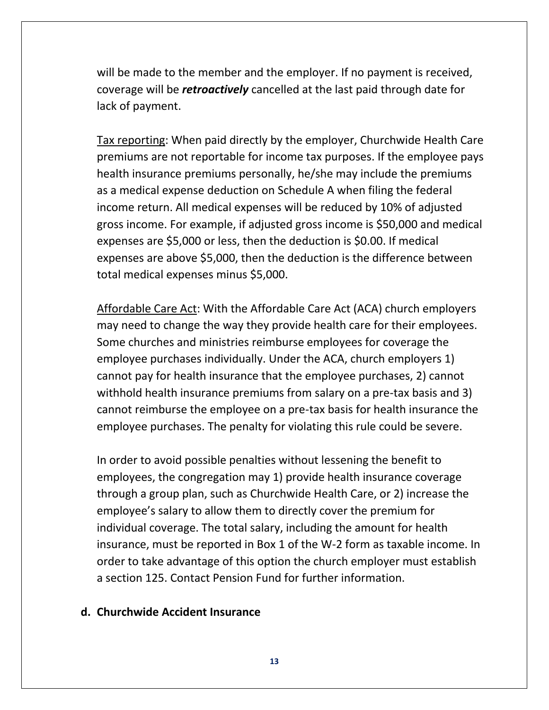will be made to the member and the employer. If no payment is received, coverage will be *retroactively* cancelled at the last paid through date for lack of payment.

Tax reporting: When paid directly by the employer, Churchwide Health Care premiums are not reportable for income tax purposes. If the employee pays health insurance premiums personally, he/she may include the premiums as a medical expense deduction on Schedule A when filing the federal income return. All medical expenses will be reduced by 10% of adjusted gross income. For example, if adjusted gross income is \$50,000 and medical expenses are \$5,000 or less, then the deduction is \$0.00. If medical expenses are above \$5,000, then the deduction is the difference between total medical expenses minus \$5,000.

Affordable Care Act: With the Affordable Care Act (ACA) church employers may need to change the way they provide health care for their employees. Some churches and ministries reimburse employees for coverage the employee purchases individually. Under the ACA, church employers 1) cannot pay for health insurance that the employee purchases, 2) cannot withhold health insurance premiums from salary on a pre-tax basis and 3) cannot reimburse the employee on a pre-tax basis for health insurance the employee purchases. The penalty for violating this rule could be severe.

In order to avoid possible penalties without lessening the benefit to employees, the congregation may 1) provide health insurance coverage through a group plan, such as Churchwide Health Care, or 2) increase the employee's salary to allow them to directly cover the premium for individual coverage. The total salary, including the amount for health insurance, must be reported in Box 1 of the W-2 form as taxable income. In order to take advantage of this option the church employer must establish a section 125. Contact Pension Fund for further information.

#### **d. Churchwide Accident Insurance**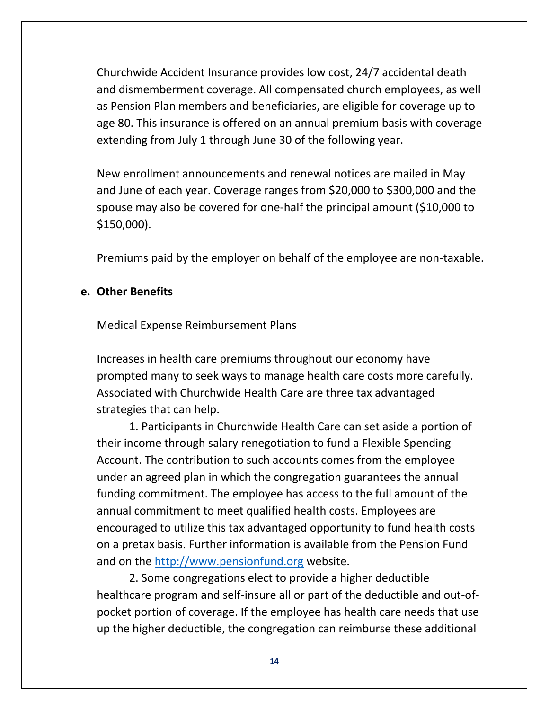Churchwide Accident Insurance provides low cost, 24/7 accidental death and dismemberment coverage. All compensated church employees, as well as Pension Plan members and beneficiaries, are eligible for coverage up to age 80. This insurance is offered on an annual premium basis with coverage extending from July 1 through June 30 of the following year.

New enrollment announcements and renewal notices are mailed in May and June of each year. Coverage ranges from \$20,000 to \$300,000 and the spouse may also be covered for one-half the principal amount (\$10,000 to \$150,000).

Premiums paid by the employer on behalf of the employee are non-taxable.

#### **e. Other Benefits**

Medical Expense Reimbursement Plans

Increases in health care premiums throughout our economy have prompted many to seek ways to manage health care costs more carefully. Associated with Churchwide Health Care are three tax advantaged strategies that can help.

1. Participants in Churchwide Health Care can set aside a portion of their income through salary renegotiation to fund a Flexible Spending Account. The contribution to such accounts comes from the employee under an agreed plan in which the congregation guarantees the annual funding commitment. The employee has access to the full amount of the annual commitment to meet qualified health costs. Employees are encouraged to utilize this tax advantaged opportunity to fund health costs on a pretax basis. Further information is available from the Pension Fund and on the [http://www.pensionfund.org](http://www.pensionfund.org/) website.

2. Some congregations elect to provide a higher deductible healthcare program and self-insure all or part of the deductible and out-ofpocket portion of coverage. If the employee has health care needs that use up the higher deductible, the congregation can reimburse these additional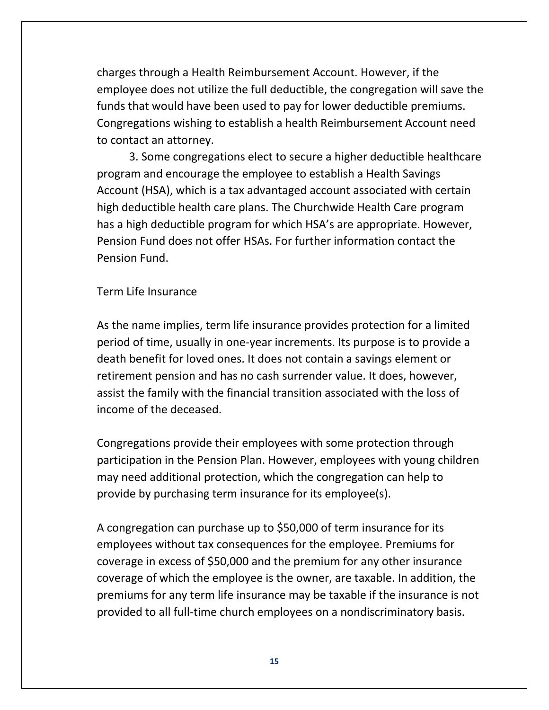charges through a Health Reimbursement Account. However, if the employee does not utilize the full deductible, the congregation will save the funds that would have been used to pay for lower deductible premiums. Congregations wishing to establish a health Reimbursement Account need to contact an attorney.

3. Some congregations elect to secure a higher deductible healthcare program and encourage the employee to establish a Health Savings Account (HSA), which is a tax advantaged account associated with certain high deductible health care plans. The Churchwide Health Care program has a high deductible program for which HSA's are appropriate. However, Pension Fund does not offer HSAs. For further information contact the Pension Fund.

Term Life Insurance

As the name implies, term life insurance provides protection for a limited period of time, usually in one-year increments. Its purpose is to provide a death benefit for loved ones. It does not contain a savings element or retirement pension and has no cash surrender value. It does, however, assist the family with the financial transition associated with the loss of income of the deceased.

Congregations provide their employees with some protection through participation in the Pension Plan. However, employees with young children may need additional protection, which the congregation can help to provide by purchasing term insurance for its employee(s).

A congregation can purchase up to \$50,000 of term insurance for its employees without tax consequences for the employee. Premiums for coverage in excess of \$50,000 and the premium for any other insurance coverage of which the employee is the owner, are taxable. In addition, the premiums for any term life insurance may be taxable if the insurance is not provided to all full-time church employees on a nondiscriminatory basis.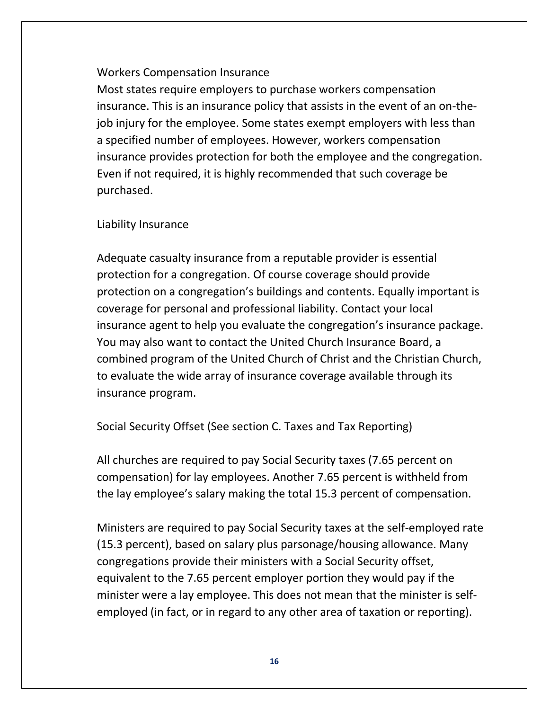### Workers Compensation Insurance

Most states require employers to purchase workers compensation insurance. This is an insurance policy that assists in the event of an on-thejob injury for the employee. Some states exempt employers with less than a specified number of employees. However, workers compensation insurance provides protection for both the employee and the congregation. Even if not required, it is highly recommended that such coverage be purchased.

## Liability Insurance

Adequate casualty insurance from a reputable provider is essential protection for a congregation. Of course coverage should provide protection on a congregation's buildings and contents. Equally important is coverage for personal and professional liability. Contact your local insurance agent to help you evaluate the congregation's insurance package. You may also want to contact the United Church Insurance Board, a combined program of the United Church of Christ and the Christian Church, to evaluate the wide array of insurance coverage available through its insurance program.

Social Security Offset (See section C. Taxes and Tax Reporting)

All churches are required to pay Social Security taxes (7.65 percent on compensation) for lay employees. Another 7.65 percent is withheld from the lay employee's salary making the total 15.3 percent of compensation.

Ministers are required to pay Social Security taxes at the self-employed rate (15.3 percent), based on salary plus parsonage/housing allowance. Many congregations provide their ministers with a Social Security offset, equivalent to the 7.65 percent employer portion they would pay if the minister were a lay employee. This does not mean that the minister is selfemployed (in fact, or in regard to any other area of taxation or reporting).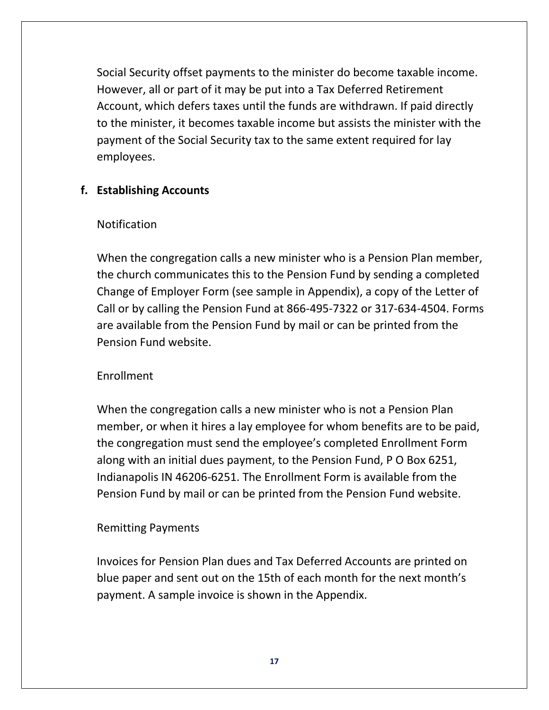Social Security offset payments to the minister do become taxable income. However, all or part of it may be put into a Tax Deferred Retirement Account, which defers taxes until the funds are withdrawn. If paid directly to the minister, it becomes taxable income but assists the minister with the payment of the Social Security tax to the same extent required for lay employees.

## **f. Establishing Accounts**

#### Notification

When the congregation calls a new minister who is a Pension Plan member, the church communicates this to the Pension Fund by sending a completed Change of Employer Form (see sample in Appendix), a copy of the Letter of Call or by calling the Pension Fund at 866-495-7322 or 317-634-4504. Forms are available from the Pension Fund by mail or can be printed from the Pension Fund website.

## Enrollment

When the congregation calls a new minister who is not a Pension Plan member, or when it hires a lay employee for whom benefits are to be paid, the congregation must send the employee's completed Enrollment Form along with an initial dues payment, to the Pension Fund, P O Box 6251, Indianapolis IN 46206-6251. The Enrollment Form is available from the Pension Fund by mail or can be printed from the Pension Fund website.

## Remitting Payments

Invoices for Pension Plan dues and Tax Deferred Accounts are printed on blue paper and sent out on the 15th of each month for the next month's payment. A sample invoice is shown in the Appendix.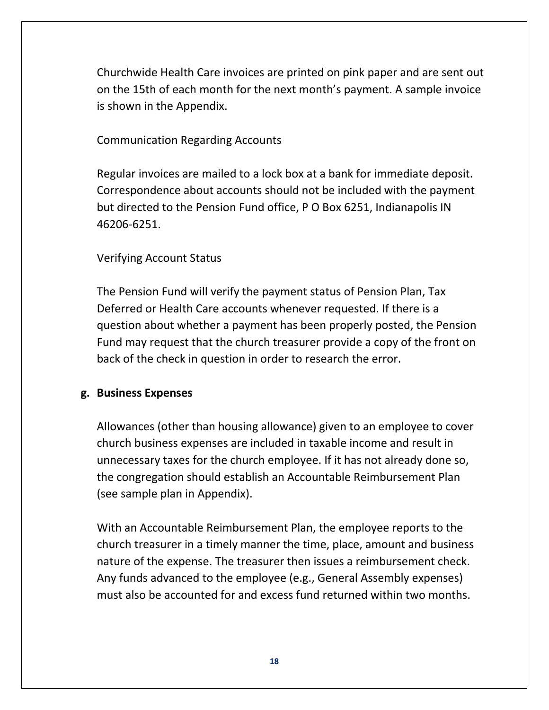Churchwide Health Care invoices are printed on pink paper and are sent out on the 15th of each month for the next month's payment. A sample invoice is shown in the Appendix.

#### Communication Regarding Accounts

Regular invoices are mailed to a lock box at a bank for immediate deposit. Correspondence about accounts should not be included with the payment but directed to the Pension Fund office, P O Box 6251, Indianapolis IN 46206-6251.

## Verifying Account Status

The Pension Fund will verify the payment status of Pension Plan, Tax Deferred or Health Care accounts whenever requested. If there is a question about whether a payment has been properly posted, the Pension Fund may request that the church treasurer provide a copy of the front on back of the check in question in order to research the error.

#### **g. Business Expenses**

Allowances (other than housing allowance) given to an employee to cover church business expenses are included in taxable income and result in unnecessary taxes for the church employee. If it has not already done so, the congregation should establish an Accountable Reimbursement Plan (see sample plan in Appendix).

With an Accountable Reimbursement Plan, the employee reports to the church treasurer in a timely manner the time, place, amount and business nature of the expense. The treasurer then issues a reimbursement check. Any funds advanced to the employee (e.g., General Assembly expenses) must also be accounted for and excess fund returned within two months.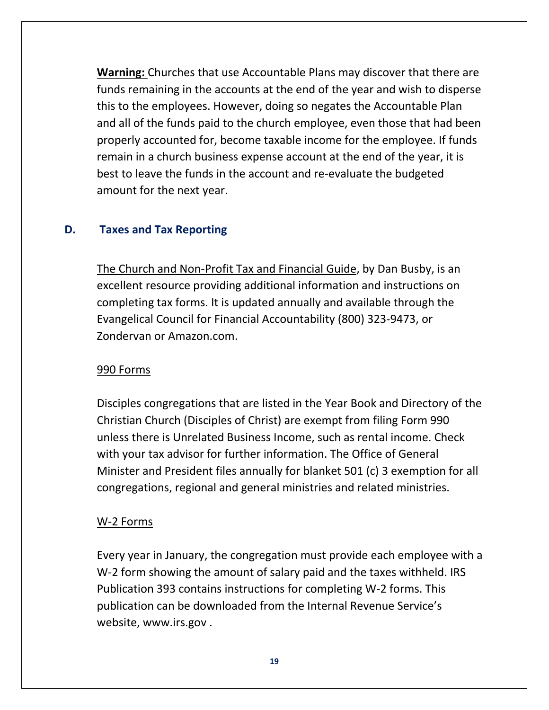**Warning:** Churches that use Accountable Plans may discover that there are funds remaining in the accounts at the end of the year and wish to disperse this to the employees. However, doing so negates the Accountable Plan and all of the funds paid to the church employee, even those that had been properly accounted for, become taxable income for the employee. If funds remain in a church business expense account at the end of the year, it is best to leave the funds in the account and re-evaluate the budgeted amount for the next year.

## **D. Taxes and Tax Reporting**

The Church and Non-Profit Tax and Financial Guide, by Dan Busby, is an excellent resource providing additional information and instructions on completing tax forms. It is updated annually and available through the Evangelical Council for Financial Accountability (800) 323-9473, or Zondervan or Amazon.com.

#### 990 Forms

Disciples congregations that are listed in the Year Book and Directory of the Christian Church (Disciples of Christ) are exempt from filing Form 990 unless there is Unrelated Business Income, such as rental income. Check with your tax advisor for further information. The Office of General Minister and President files annually for blanket 501 (c) 3 exemption for all congregations, regional and general ministries and related ministries.

#### W-2 Forms

Every year in January, the congregation must provide each employee with a W-2 form showing the amount of salary paid and the taxes withheld. IRS Publication 393 contains instructions for completing W-2 forms. This publication can be downloaded from the Internal Revenue Service's website, www.irs.gov .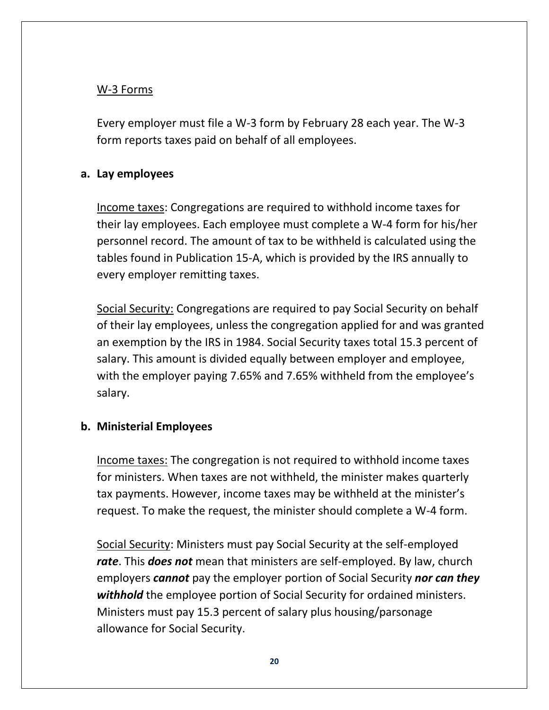## W-3 Forms

Every employer must file a W-3 form by February 28 each year. The W-3 form reports taxes paid on behalf of all employees.

## **a. Lay employees**

Income taxes: Congregations are required to withhold income taxes for their lay employees. Each employee must complete a W-4 form for his/her personnel record. The amount of tax to be withheld is calculated using the tables found in Publication 15-A, which is provided by the IRS annually to every employer remitting taxes.

Social Security: Congregations are required to pay Social Security on behalf of their lay employees, unless the congregation applied for and was granted an exemption by the IRS in 1984. Social Security taxes total 15.3 percent of salary. This amount is divided equally between employer and employee, with the employer paying 7.65% and 7.65% withheld from the employee's salary.

#### **b. Ministerial Employees**

Income taxes: The congregation is not required to withhold income taxes for ministers. When taxes are not withheld, the minister makes quarterly tax payments. However, income taxes may be withheld at the minister's request. To make the request, the minister should complete a W-4 form.

Social Security: Ministers must pay Social Security at the self-employed *rate*. This *does not* mean that ministers are self-employed. By law, church employers *cannot* pay the employer portion of Social Security *nor can they withhold* the employee portion of Social Security for ordained ministers. Ministers must pay 15.3 percent of salary plus housing/parsonage allowance for Social Security.